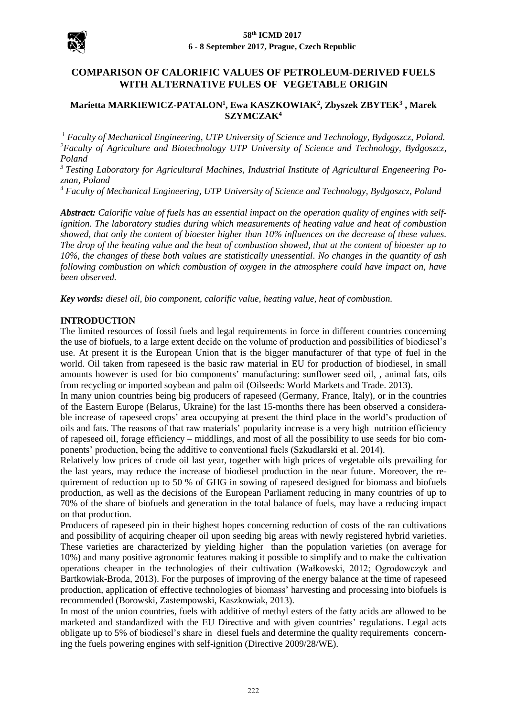

# **COMPARISON OF CALORIFIC VALUES OF PETROLEUM-DERIVED FUELS WITH ALTERNATIVE FULES OF VEGETABLE ORIGIN**

## **Marietta MARKIEWICZ-PATALON<sup>1</sup> , Ewa KASZKOWIAK<sup>2</sup> , Zbyszek ZBYTEK<sup>3</sup> , Marek SZYMCZAK<sup>4</sup>**

*<sup>1</sup> Faculty of Mechanical Engineering, UTP University of Science and Technology, Bydgoszcz, Poland. <sup>2</sup>Faculty of Agriculture and Biotechnology UTP University of Science and Technology, Bydgoszcz, Poland*

*<sup>3</sup> Testing Laboratory for Agricultural Machines, Industrial Institute of Agricultural Engeneering Poznan, Poland*

*<sup>4</sup> Faculty of Mechanical Engineering, UTP University of Science and Technology, Bydgoszcz, Poland*

*Abstract: Calorific value of fuels has an essential impact on the operation quality of engines with selfignition. The laboratory studies during which measurements of heating value and heat of combustion showed, that only the content of bioester higher than 10% influences on the decrease of these values. The drop of the heating value and the heat of combustion showed, that at the content of bioester up to 10%, the changes of these both values are statistically unessential. No changes in the quantity of ash following combustion on which combustion of oxygen in the atmosphere could have impact on, have been observed.*

*Key words: diesel oil, bio component, calorific value, heating value, heat of combustion.*

## **INTRODUCTION**

The limited resources of fossil fuels and legal requirements in force in different countries concerning the use of biofuels, to a large extent decide on the volume of production and possibilities of biodiesel's use. At present it is the European Union that is the bigger manufacturer of that type of fuel in the world. Oil taken from rapeseed is the basic raw material in EU for production of biodiesel, in small amounts however is used for bio components' manufacturing: sunflower seed oil, , animal fats, oils from recycling or imported soybean and palm oil (Oilseeds: World Markets and Trade. 2013).

In many union countries being big producers of rapeseed (Germany, France, Italy), or in the countries of the Eastern Europe (Belarus, Ukraine) for the last 15-months there has been observed a considerable increase of rapeseed crops' area occupying at present the third place in the world's production of oils and fats. The reasons of that raw materials' popularity increase is a very high nutrition efficiency of rapeseed oil, forage efficiency – middlings, and most of all the possibility to use seeds for bio components' production, being the additive to conventional fuels (Szkudlarski et al. 2014).

Relatively low prices of crude oil last year, together with high prices of vegetable oils prevailing for the last years, may reduce the increase of biodiesel production in the near future. Moreover, the requirement of reduction up to 50 % of GHG in sowing of rapeseed designed for biomass and biofuels production, as well as the decisions of the European Parliament reducing in many countries of up to 70% of the share of biofuels and generation in the total balance of fuels, may have a reducing impact on that production.

Producers of rapeseed pin in their highest hopes concerning reduction of costs of the ran cultivations and possibility of acquiring cheaper oil upon seeding big areas with newly registered hybrid varieties. These varieties are characterized by yielding higher than the population varieties (on average for 10%) and many positive agronomic features making it possible to simplify and to make the cultivation operations cheaper in the technologies of their cultivation (Wałkowski, 2012; Ogrodowczyk and Bartkowiak-Broda, 2013). For the purposes of improving of the energy balance at the time of rapeseed production, application of effective technologies of biomass' harvesting and processing into biofuels is recommended (Borowski, Zastempowski, Kaszkowiak, 2013).

In most of the union countries, fuels with additive of methyl esters of the fatty acids are allowed to be marketed and standardized with the EU Directive and with given countries' regulations. Legal acts obligate up to 5% of biodiesel's share in diesel fuels and determine the quality requirements concerning the fuels powering engines with self-ignition (Directive 2009/28/WE).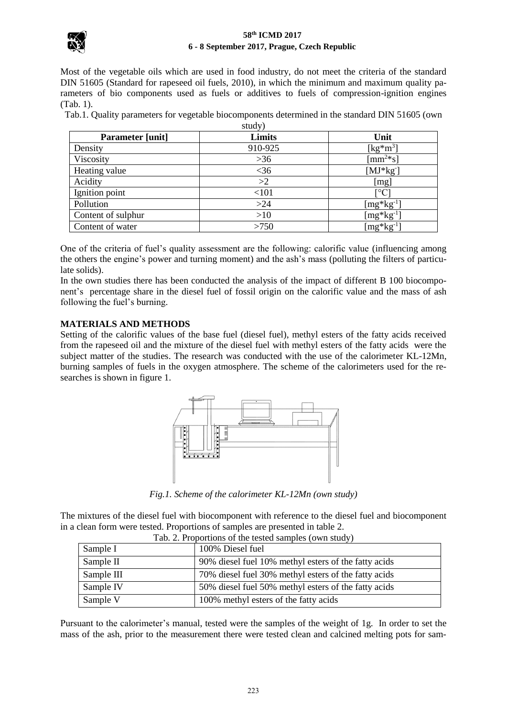

### **58th ICMD 2017 6 - 8 September 2017, Prague, Czech Republic**

Most of the vegetable oils which are used in food industry, do not meet the criteria of the standard DIN 51605 (Standard for rapeseed oil fuels, 2010), in which the minimum and maximum quality parameters of bio components used as fuels or additives to fuels of compression-ignition engines (Tab. 1).

Tab.1. Quality parameters for vegetable biocomponents determined in the standard DIN 51605 (own study)

| <b>Parameter</b> [unit] | ---- <i>-11</i><br>Limits | Unit                  |
|-------------------------|---------------------------|-----------------------|
| Density                 | 910-925                   | [kg*m <sup>3</sup> ]  |
| Viscosity               | $>36$                     | $\text{[mm$^{2*}$s]}$ |
| Heating value           | $<$ 36                    | $[MJ*kg]$             |
| Acidity                 | >2                        | [mg]                  |
| Ignition point          | $<$ 101                   | $\rm ^{\circ}C$       |
| Pollution               | $>24$                     | $[mg*kg^{-1}]$        |
| Content of sulphur      | >10                       | $[mg*kg^{-1}]$        |
| Content of water        | >750                      | $[mg*kg^{-1}]$        |

One of the criteria of fuel's quality assessment are the following: calorific value (influencing among the others the engine's power and turning moment) and the ash's mass (polluting the filters of particulate solids).

In the own studies there has been conducted the analysis of the impact of different B 100 biocomponent's percentage share in the diesel fuel of fossil origin on the calorific value and the mass of ash following the fuel's burning.

# **MATERIALS AND METHODS**

Setting of the calorific values of the base fuel (diesel fuel), methyl esters of the fatty acids received from the rapeseed oil and the mixture of the diesel fuel with methyl esters of the fatty acids were the subject matter of the studies. The research was conducted with the use of the calorimeter KL-12Mn, burning samples of fuels in the oxygen atmosphere. The scheme of the calorimeters used for the researches is shown in figure 1.



*Fig.1. Scheme of the calorimeter KL-12Mn (own study)*

The mixtures of the diesel fuel with biocomponent with reference to the diesel fuel and biocomponent in a clean form were tested. Proportions of samples are presented in table 2.

| Tab. 2. Proportions of the tested samples (own study) |                                                      |  |  |
|-------------------------------------------------------|------------------------------------------------------|--|--|
| Sample I                                              | 100% Diesel fuel                                     |  |  |
| Sample II                                             | 90% diesel fuel 10% methyl esters of the fatty acids |  |  |
| Sample III                                            | 70% diesel fuel 30% methyl esters of the fatty acids |  |  |
| Sample IV                                             | 50% diesel fuel 50% methyl esters of the fatty acids |  |  |
| Sample V                                              | 100% methyl esters of the fatty acids                |  |  |

Pursuant to the calorimeter's manual, tested were the samples of the weight of 1g. In order to set the mass of the ash, prior to the measurement there were tested clean and calcined melting pots for sam-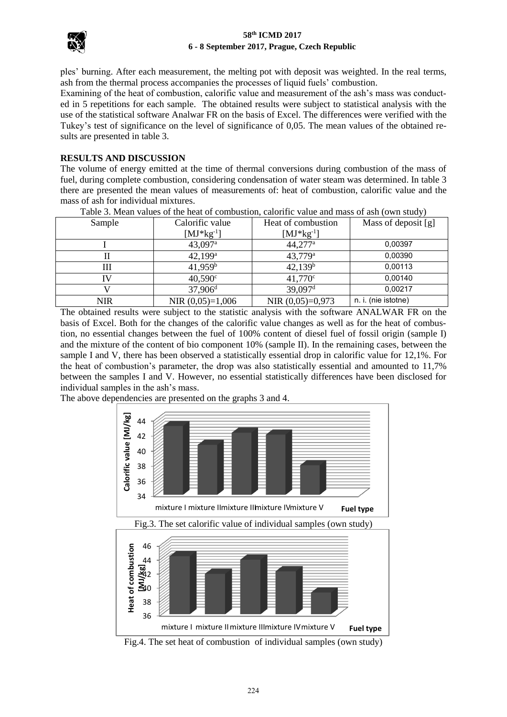

### **58th ICMD 2017 6 - 8 September 2017, Prague, Czech Republic**

ples' burning. After each measurement, the melting pot with deposit was weighted. In the real terms, ash from the thermal process accompanies the processes of liquid fuels' combustion.

Examining of the heat of combustion, calorific value and measurement of the ash's mass was conducted in 5 repetitions for each sample. The obtained results were subject to statistical analysis with the use of the statistical software Analwar FR on the basis of Excel. The differences were verified with the Tukey's test of significance on the level of significance of 0,05. The mean values of the obtained results are presented in table 3.

# **RESULTS AND DISCUSSION**

The volume of energy emitted at the time of thermal conversions during combustion of the mass of fuel, during complete combustion, considering condensation of water steam was determined. In table 3 there are presented the mean values of measurements of: heat of combustion, calorific value and the mass of ash for individual mixtures.

|            |                       |                       | <u>. .</u>          |
|------------|-----------------------|-----------------------|---------------------|
| Sample     | Calorific value       | Heat of combustion    | Mass of deposit [g] |
|            | $[MJ*kg^{-1}]$        | $[MJ*kg^{-1}]$        |                     |
|            | $43,097$ <sup>a</sup> | $44,277$ <sup>a</sup> | 0.00397             |
|            | $42,199^{\rm a}$      | $43,779^{\rm a}$      | 0,00390             |
| Ш          | 41,959 <sup>b</sup>   | 42,139 <sup>b</sup>   | 0,00113             |
| IV         | $40,590^{\circ}$      | $41,770^{\circ}$      | 0.00140             |
|            | $37,906$ <sup>d</sup> | 39,097 <sup>d</sup>   | 0,00217             |
| <b>NIR</b> | NIR $(0,05)=1,006$    | NIR $(0,05)=0,973$    | n. i. (nie istotne) |

Table 3. Mean values of the heat of combustion, calorific value and mass of ash (own study)

The obtained results were subject to the statistic analysis with the software ANALWAR FR on the basis of Excel. Both for the changes of the calorific value changes as well as for the heat of combustion, no essential changes between the fuel of 100% content of diesel fuel of fossil origin (sample I) and the mixture of the content of bio component 10% (sample II). In the remaining cases, between the sample I and V, there has been observed a statistically essential drop in calorific value for 12,1%. For the heat of combustion's parameter, the drop was also statistically essential and amounted to 11,7% between the samples I and V. However, no essential statistically differences have been disclosed for individual samples in the ash's mass.

The above dependencies are presented on the graphs 3 and 4.



Fig.4. The set heat of combustion of individual samples (own study)